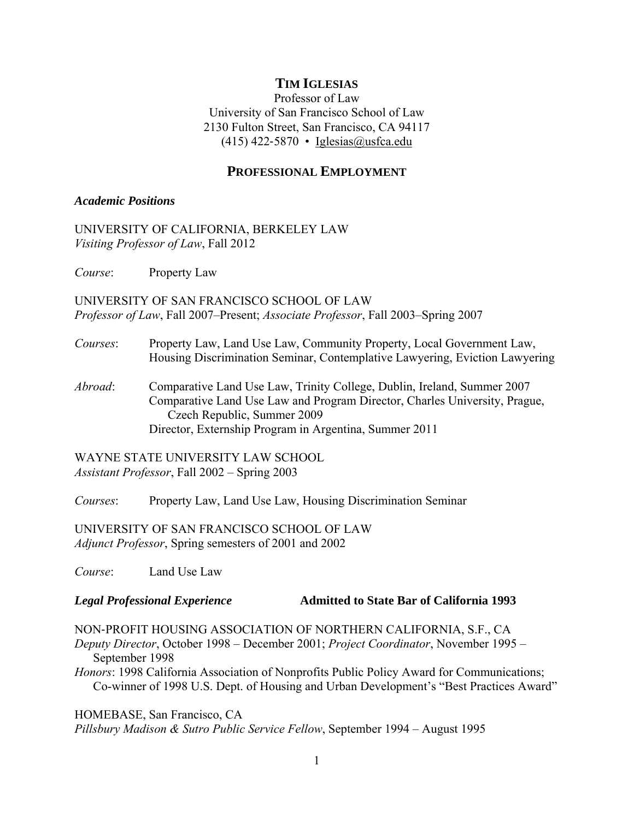## **TIM IGLESIAS**

Professor of Law University of San Francisco School of Law 2130 Fulton Street, San Francisco, CA 94117  $(415)$  422-5870 • [Iglesias@usfca.edu](mailto:Iglesias@usfca.edu)

#### **PROFESSIONAL EMPLOYMENT**

#### *Academic Positions*

UNIVERSITY OF CALIFORNIA, BERKELEY LAW *Visiting Professor of Law*, Fall 2012

*Course*: Property Law

UNIVERSITY OF SAN FRANCISCO SCHOOL OF LAW *Professor of Law*, Fall 2007–Present; *Associate Professor*, Fall 2003–Spring 2007

- *Courses*: Property Law, Land Use Law, Community Property, Local Government Law, Housing Discrimination Seminar, Contemplative Lawyering, Eviction Lawyering
- *Abroad*: Comparative Land Use Law, Trinity College, Dublin, Ireland, Summer 2007 Comparative Land Use Law and Program Director, Charles University, Prague, Czech Republic, Summer 2009 Director, Externship Program in Argentina, Summer 2011

WAYNE STATE UNIVERSITY LAW SCHOOL *Assistant Professor*, Fall 2002 – Spring 2003

*Courses*: Property Law, Land Use Law, Housing Discrimination Seminar

UNIVERSITY OF SAN FRANCISCO SCHOOL OF LAW *Adjunct Professor*, Spring semesters of 2001 and 2002

*Course*: Land Use Law

#### **Legal Professional Experience** *Legal Professional Experience* **Admitted to State Bar of California 1993**

NON‐PROFIT HOUSING ASSOCIATION OF NORTHERN CALIFORNIA, S.F., CA

*Deputy Director*, October 1998 – December 2001; *Project Coordinator*, November 1995 – September 1998

*Honors*: 1998 California Association of Nonprofits Public Policy Award for Communications; Co-winner of 1998 U.S. Dept. of Housing and Urban Development's "Best Practices Award"

HOMEBASE, San Francisco, CA

*Pillsbury Madison & Sutro Public Service Fellow*, September 1994 – August 1995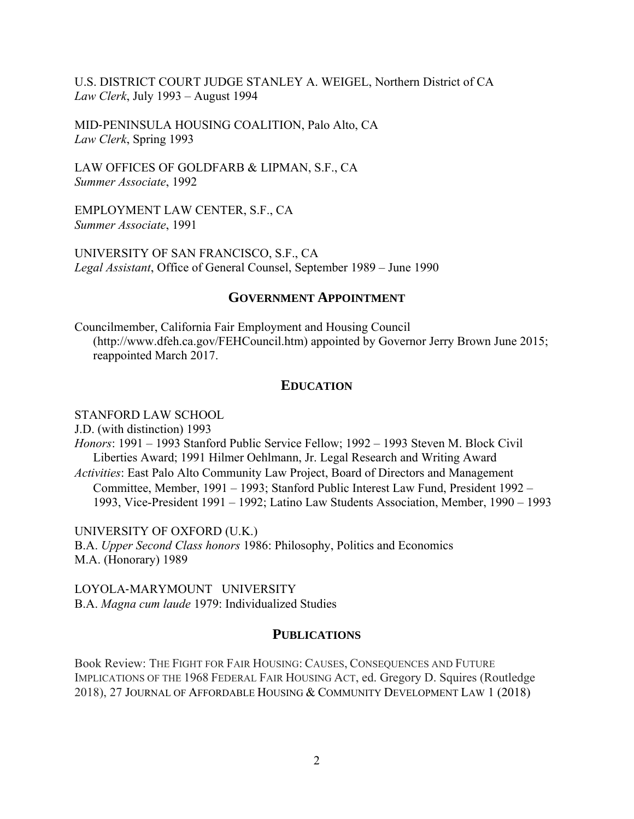U.S. DISTRICT COURT JUDGE STANLEY A. WEIGEL, Northern District of CA *Law Clerk*, July 1993 – August 1994

MID‐PENINSULA HOUSING COALITION, Palo Alto, CA *Law Clerk*, Spring 1993

LAW OFFICES OF GOLDFARB & LIPMAN, S.F., CA *Summer Associate*, 1992

EMPLOYMENT LAW CENTER, S.F., CA *Summer Associate*, 1991

UNIVERSITY OF SAN FRANCISCO, S.F., CA *Legal Assistant*, Office of General Counsel, September 1989 – June 1990

## **GOVERNMENT APPOINTMENT**

Councilmember, California Fair Employment and Housing Council (<http://www.dfeh.ca.gov/FEHCouncil.htm>) appointed by Governor Jerry Brown June 2015; reappointed March 2017.

## **EDUCATION**

#### STANFORD LAW SCHOOL

J.D. (with distinction) 1993 *Honors*: 1991 – 1993 Stanford Public Service Fellow; 1992 – 1993 Steven M. Block Civil Liberties Award; 1991 Hilmer Oehlmann, Jr. Legal Research and Writing Award *Activities*: East Palo Alto Community Law Project, Board of Directors and Management Committee, Member, 1991 – 1993; Stanford Public Interest Law Fund, President 1992 – 1993, Vice-President 1991 – 1992; Latino Law Students Association, Member, 1990 – 1993

UNIVERSITY OF OXFORD (U.K.) B.A. *Upper Second Class honors* 1986: Philosophy, Politics and Economics M.A. (Honorary) 1989

LOYOLA‐MARYMOUNT UNIVERSITY B.A. *Magna cum laude* 1979: Individualized Studies

## **PUBLICATIONS**

 Book Review: THE FIGHT FOR FAIR HOUSING: CAUSES, CONSEQUENCES AND FUTURE IMPLICATIONS OF THE 1968 FEDERAL FAIR HOUSING ACT, ed. Gregory D. Squires (Routledge 2018), 27 JOURNAL OF AFFORDABLE HOUSING & COMMUNITY DEVELOPMENT LAW 1 (2018)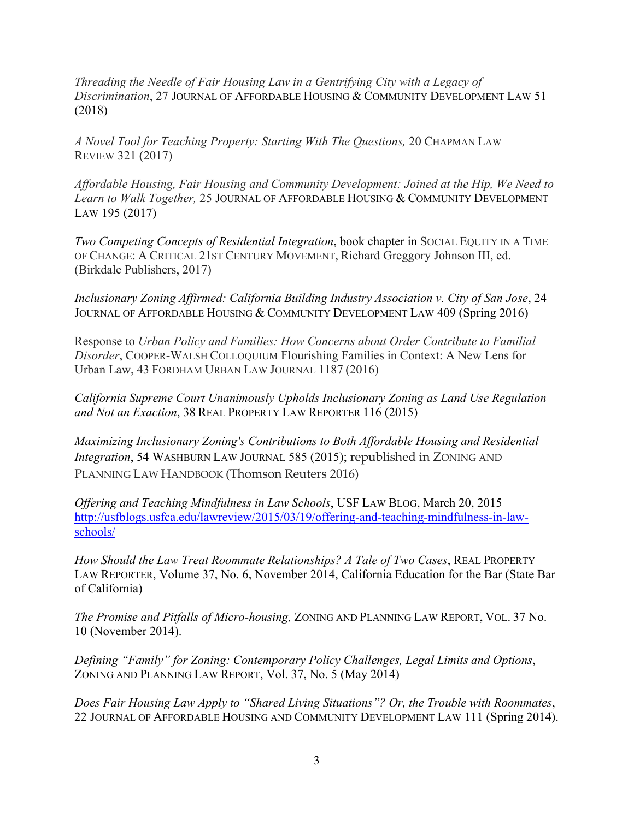*Threading the Needle of Fair Housing Law in a Gentrifying City with a Legacy of Discrimination*, 27 JOURNAL OF AFFORDABLE HOUSING & COMMUNITY DEVELOPMENT LAW 51 (2018)

*A Novel Tool for Teaching Property: Starting With The Questions,* 20 CHAPMAN LAW REVIEW 321 (2017)

*Affordable Housing, Fair Housing and Community Development: Joined at the Hip, We Need to Learn to Walk Together,* 25 JOURNAL OF AFFORDABLE HOUSING & COMMUNITY DEVELOPMENT LAW 195 (2017)

 OF CHANGE: A CRITICAL 21ST CENTURY MOVEMENT, Richard Greggory Johnson III, ed. *Two Competing Concepts of Residential Integration*, book chapter in SOCIAL EQUITY IN A TIME (Birkdale Publishers, 2017)

*Inclusionary Zoning Affirmed: California Building Industry Association v. City of San Jose*, 24 JOURNAL OF AFFORDABLE HOUSING & COMMUNITY DEVELOPMENT LAW 409 (Spring 2016)

 Urban Law, 43 FORDHAM URBAN LAW JOURNAL 1187 (2016) Response to *Urban Policy and Families: How Concerns about Order Contribute to Familial Disorder*, COOPER-WALSH COLLOQUIUM Flourishing Families in Context: A New Lens for

*California Supreme Court Unanimously Upholds Inclusionary Zoning as Land Use Regulation and Not an Exaction*, 38 REAL PROPERTY LAW REPORTER 116 (2015)

 *Integration*, 54 WASHBURN LAW JOURNAL 585 (2015); republished in ZONING AND PLANNING LAW HANDBOOK (Thomson Reuters 2016) *Maximizing Inclusionary Zoning's Contributions to Both Affordable Housing and Residential* 

*Offering and Teaching Mindfulness in Law Schools*, USF LAW BLOG, March 20, 2015 <http://usfblogs.usfca.edu/lawreview/2015/03/19/offering-and-teaching-mindfulness-in-law>schools/

*How Should the Law Treat Roommate Relationships? A Tale of Two Cases*, REAL PROPERTY LAW REPORTER, Volume 37, No. 6, November 2014, California Education for the Bar (State Bar of California)

 *The Promise and Pitfalls of Micro-housing,* ZONING AND PLANNING LAW REPORT, VOL. 37 No. 10 (November 2014).

*Defining "Family" for Zoning: Contemporary Policy Challenges, Legal Limits and Options*, ZONING AND PLANNING LAW REPORT, Vol. 37, No. 5 (May 2014)

*Does Fair Housing Law Apply to "Shared Living Situations"? Or, the Trouble with Roommates*, 22 JOURNAL OF AFFORDABLE HOUSING AND COMMUNITY DEVELOPMENT LAW 111 (Spring 2014).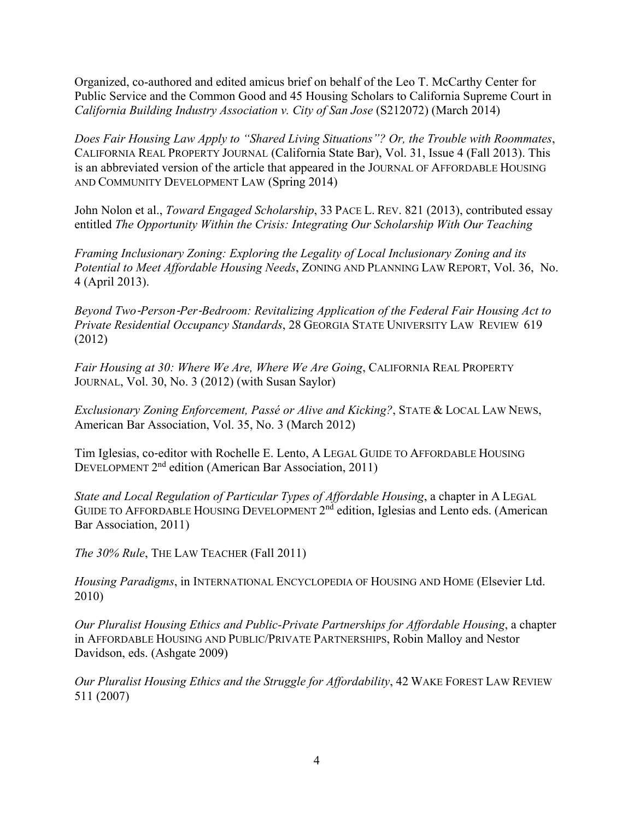Organized, co-authored and edited amicus brief on behalf of the Leo T. McCarthy Center for Public Service and the Common Good and 45 Housing Scholars to California Supreme Court in *California Building Industry Association v. City of San Jose* (S212072) (March 2014)

*Does Fair Housing Law Apply to "Shared Living Situations"? Or, the Trouble with Roommates*, CALIFORNIA REAL PROPERTY JOURNAL (California State Bar), Vol. 31, Issue 4 (Fall 2013). This is an abbreviated version of the article that appeared in the JOURNAL OF AFFORDABLE HOUSING AND COMMUNITY DEVELOPMENT LAW (Spring 2014)

 John Nolon et al., *Toward Engaged Scholarship*, 33 PACE L. REV. 821 (2013), contributed essay entitled *The Opportunity Within the Crisis: Integrating Our Scholarship With Our Teaching* 

*Framing Inclusionary Zoning: Exploring the Legality of Local Inclusionary Zoning and its Potential to Meet Affordable Housing Needs*, ZONING AND PLANNING LAW REPORT, Vol. 36, No. 4 (April 2013).

 *Private Residential Occupancy Standards*, 28 GEORGIA STATE UNIVERSITY LAW REVIEW 619 *Beyond Two*‐*Person*‐*Per*‐*Bedroom: Revitalizing Application of the Federal Fair Housing Act to*  (2012)

*Fair Housing at 30: Where We Are, Where We Are Going*, CALIFORNIA REAL PROPERTY JOURNAL, Vol. 30, No. 3 (2012) (with Susan Saylor)

*Exclusionary Zoning Enforcement, Passé or Alive and Kicking?*, STATE & LOCAL LAW NEWS, American Bar Association, Vol. 35, No. 3 (March 2012)

Tim Iglesias, co-editor with Rochelle E. Lento, A LEGAL GUIDE TO AFFORDABLE HOUSING DEVELOPMENT 2<sup>nd</sup> edition (American Bar Association, 2011)

*State and Local Regulation of Particular Types of Affordable Housing*, a chapter in A LEGAL GUIDE TO AFFORDABLE HOUSING DEVELOPMENT 2<sup>nd</sup> edition, Iglesias and Lento eds. (American Bar Association, 2011)

*The 30% Rule*, THE LAW TEACHER (Fall 2011)

*Housing Paradigms*, in INTERNATIONAL ENCYCLOPEDIA OF HOUSING AND HOME (Elsevier Ltd. 2010)

*Our Pluralist Housing Ethics and Public-Private Partnerships for Affordable Housing*, a chapter in AFFORDABLE HOUSING AND PUBLIC/PRIVATE PARTNERSHIPS, Robin Malloy and Nestor Davidson, eds. (Ashgate 2009)

*Our Pluralist Housing Ethics and the Struggle for Affordability*, 42 WAKE FOREST LAW REVIEW 511 (2007)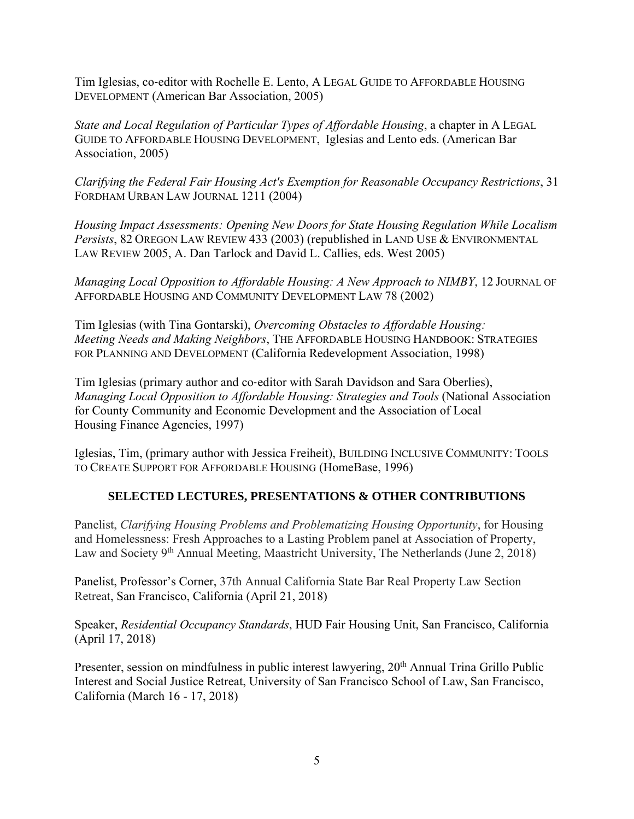Tim Iglesias, co‐editor with Rochelle E. Lento, A LEGAL GUIDE TO AFFORDABLE HOUSING DEVELOPMENT (American Bar Association, 2005)

*State and Local Regulation of Particular Types of Affordable Housing*, a chapter in A LEGAL GUIDE TO AFFORDABLE HOUSING DEVELOPMENT, Iglesias and Lento eds. (American Bar Association, 2005)

*Clarifying the Federal Fair Housing Actʹs Exemption for Reasonable Occupancy Restrictions*, 31 FORDHAM URBAN LAW JOURNAL 1211 (2004)

*Housing Impact Assessments: Opening New Doors for State Housing Regulation While Localism Persists*, 82 OREGON LAW REVIEW 433 (2003) (republished in LAND USE & ENVIRONMENTAL LAW REVIEW 2005, A. Dan Tarlock and David L. Callies, eds. West 2005)

*Managing Local Opposition to Affordable Housing: A New Approach to NIMBY*, 12 JOURNAL OF AFFORDABLE HOUSING AND COMMUNITY DEVELOPMENT LAW 78 (2002)

Tim Iglesias (with Tina Gontarski), *Overcoming Obstacles to Affordable Housing: Meeting Needs and Making Neighbors*, THE AFFORDABLE HOUSING HANDBOOK: STRATEGIES FOR PLANNING AND DEVELOPMENT (California Redevelopment Association, 1998)

Tim Iglesias (primary author and co-editor with Sarah Davidson and Sara Oberlies), *Managing Local Opposition to Affordable Housing: Strategies and Tools* (National Association for County Community and Economic Development and the Association of Local Housing Finance Agencies, 1997)

Iglesias, Tim, (primary author with Jessica Freiheit), BUILDING INCLUSIVE COMMUNITY: TOOLS TO CREATE SUPPORT FOR AFFORDABLE HOUSING (HomeBase, 1996)

# **SELECTED LECTURES, PRESENTATIONS & OTHER CONTRIBUTIONS**

Panelist, *Clarifying Housing Problems and Problematizing Housing Opportunity*, for Housing and Homelessness: Fresh Approaches to a Lasting Problem panel at Association of Property, Law and Society  $9<sup>th</sup>$  Annual Meeting, Maastricht University, The Netherlands (June 2, 2018)

Panelist, Professor's Corner, 37th Annual California State Bar Real Property Law Section Retreat, San Francisco, California (April 21, 2018)

Speaker, *Residential Occupancy Standards*, HUD Fair Housing Unit, San Francisco, California (April 17, 2018)

Presenter, session on mindfulness in public interest lawyering, 20<sup>th</sup> Annual Trina Grillo Public Interest and Social Justice Retreat, University of San Francisco School of Law, San Francisco, California (March 16 - 17, 2018)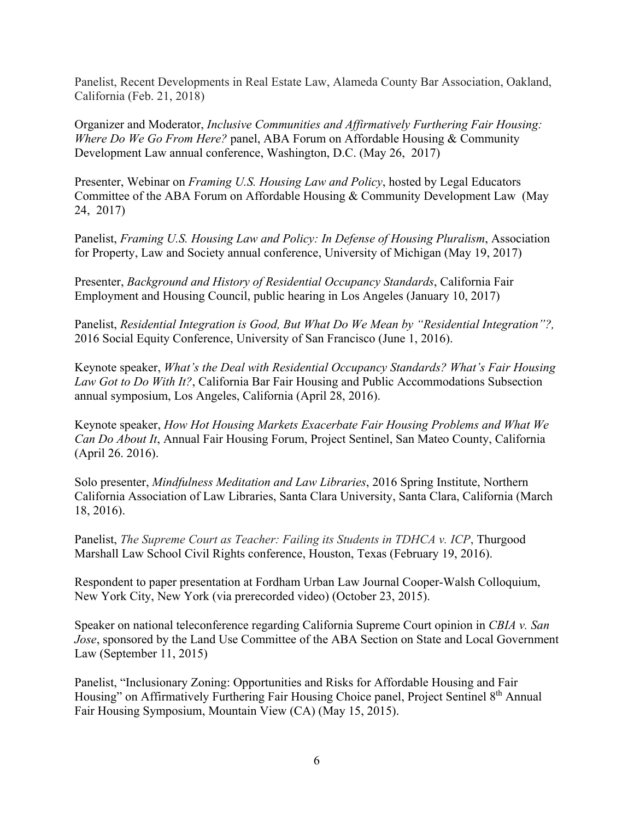Panelist, Recent Developments in Real Estate Law, Alameda County Bar Association, Oakland, California (Feb. 21, 2018)

Organizer and Moderator, *Inclusive Communities and Affirmatively Furthering Fair Housing: Where Do We Go From Here?* panel, ABA Forum on Affordable Housing & Community Development Law annual conference, Washington, D.C. (May 26, 2017)

Presenter, Webinar on *Framing U.S. Housing Law and Policy*, hosted by Legal Educators Committee of the ABA Forum on Affordable Housing & Community Development Law (May 24, 2017)

Panelist, *Framing U.S. Housing Law and Policy: In Defense of Housing Pluralism*, Association for Property, Law and Society annual conference, University of Michigan (May 19, 2017)

Presenter, *Background and History of Residential Occupancy Standards*, California Fair Employment and Housing Council, public hearing in Los Angeles (January 10, 2017)

Panelist, *Residential Integration is Good, But What Do We Mean by "Residential Integration"?,*  2016 Social Equity Conference, University of San Francisco (June 1, 2016).

Keynote speaker, *What's the Deal with Residential Occupancy Standards? What's Fair Housing Law Got to Do With It?*, California Bar Fair Housing and Public Accommodations Subsection annual symposium, Los Angeles, California (April 28, 2016).

Keynote speaker, *How Hot Housing Markets Exacerbate Fair Housing Problems and What We Can Do About It*, Annual Fair Housing Forum, Project Sentinel, San Mateo County, California (April 26. 2016).

Solo presenter, *Mindfulness Meditation and Law Libraries*, 2016 Spring Institute, Northern California Association of Law Libraries, Santa Clara University, Santa Clara, California (March 18, 2016).

Panelist, *The Supreme Court as Teacher: Failing its Students in TDHCA v. ICP*, Thurgood Marshall Law School Civil Rights conference, Houston, Texas (February 19, 2016).

Respondent to paper presentation at Fordham Urban Law Journal Cooper-Walsh Colloquium, New York City, New York (via prerecorded video) (October 23, 2015).

Speaker on national teleconference regarding California Supreme Court opinion in *CBIA v. San Jose*, sponsored by the Land Use Committee of the ABA Section on State and Local Government Law (September 11, 2015)

Panelist, "Inclusionary Zoning: Opportunities and Risks for Affordable Housing and Fair Housing" on Affirmatively Furthering Fair Housing Choice panel, Project Sentinel 8<sup>th</sup> Annual Fair Housing Symposium, Mountain View (CA) (May 15, 2015).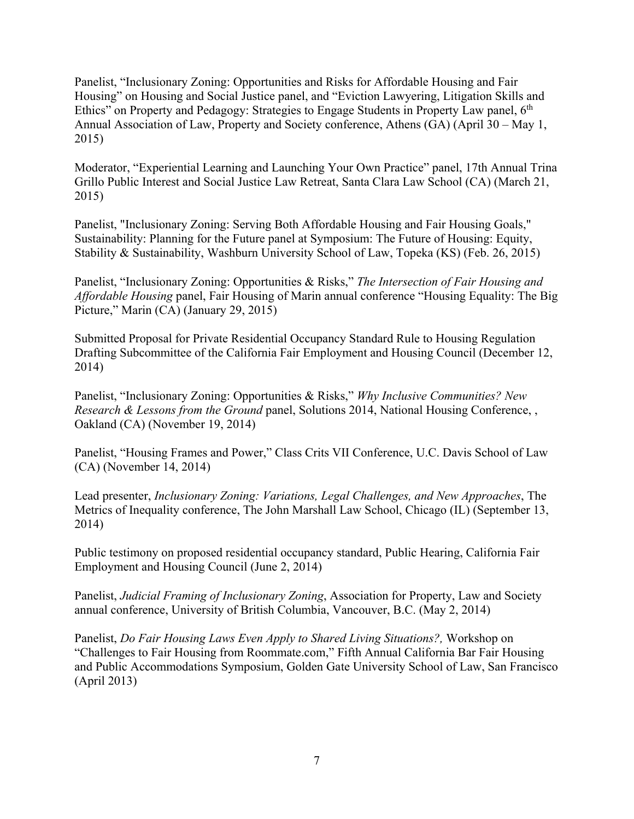Panelist, "Inclusionary Zoning: Opportunities and Risks for Affordable Housing and Fair Housing" on Housing and Social Justice panel, and "Eviction Lawyering, Litigation Skills and Ethics" on Property and Pedagogy: Strategies to Engage Students in Property Law panel, 6<sup>th</sup> Annual Association of Law, Property and Society conference, Athens (GA) (April 30 – May 1, 2015)

Moderator, "Experiential Learning and Launching Your Own Practice" panel, 17th Annual Trina Grillo Public Interest and Social Justice Law Retreat, Santa Clara Law School (CA) (March 21, 2015)

Panelist, "Inclusionary Zoning: Serving Both Affordable Housing and Fair Housing Goals," Sustainability: Planning for the Future panel at Symposium: The Future of Housing: Equity, Stability & Sustainability, Washburn University School of Law, Topeka (KS) (Feb. 26, 2015)

Panelist, "Inclusionary Zoning: Opportunities & Risks," *The Intersection of Fair Housing and Affordable Housing* panel, Fair Housing of Marin annual conference "Housing Equality: The Big Picture," Marin (CA) (January 29, 2015)

Submitted Proposal for Private Residential Occupancy Standard Rule to Housing Regulation Drafting Subcommittee of the California Fair Employment and Housing Council (December 12, 2014)

Panelist, "Inclusionary Zoning: Opportunities & Risks," *Why Inclusive Communities? New Research & Lessons from the Ground* panel, Solutions 2014, National Housing Conference, , Oakland (CA) (November 19, 2014)

Panelist, "Housing Frames and Power," Class Crits VII Conference, U.C. Davis School of Law (CA) (November 14, 2014)

Lead presenter, *Inclusionary Zoning: Variations, Legal Challenges, and New Approaches*, The Metrics of Inequality conference, The John Marshall Law School, Chicago (IL) (September 13, 2014)

Public testimony on proposed residential occupancy standard, Public Hearing, California Fair Employment and Housing Council (June 2, 2014)

Panelist, *Judicial Framing of Inclusionary Zoning*, Association for Property, Law and Society annual conference, University of British Columbia, Vancouver, B.C. (May 2, 2014)

Panelist, *Do Fair Housing Laws Even Apply to Shared Living Situations?,* Workshop on "Challenges to Fair Housing from [Roommate.com,](https://Roommate.com)" Fifth Annual California Bar Fair Housing and Public Accommodations Symposium, Golden Gate University School of Law, San Francisco (April 2013)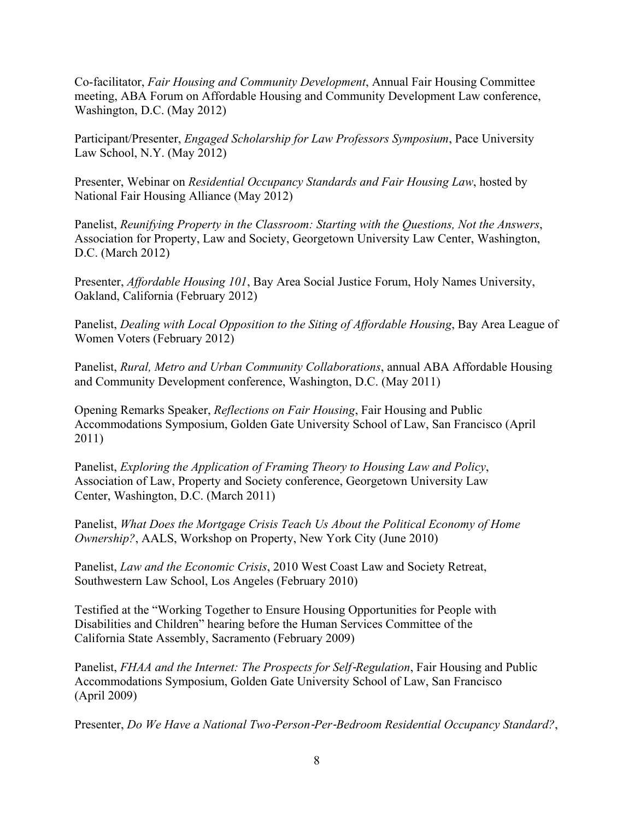Co-facilitator, *Fair Housing and Community Development*, Annual Fair Housing Committee meeting, ABA Forum on Affordable Housing and Community Development Law conference, Washington, D.C. (May 2012)

Participant/Presenter, *Engaged Scholarship for Law Professors Symposium*, Pace University Law School, N.Y. (May 2012)

Presenter, Webinar on *Residential Occupancy Standards and Fair Housing Law*, hosted by National Fair Housing Alliance (May 2012)

Panelist, *Reunifying Property in the Classroom: Starting with the Questions, Not the Answers*, Association for Property, Law and Society, Georgetown University Law Center, Washington, D.C. (March 2012)

Presenter, *Affordable Housing 101*, Bay Area Social Justice Forum, Holy Names University, Oakland, California (February 2012)

Panelist, *Dealing with Local Opposition to the Siting of Affordable Housing*, Bay Area League of Women Voters (February 2012)

Panelist, *Rural, Metro and Urban Community Collaborations*, annual ABA Affordable Housing and Community Development conference, Washington, D.C. (May 2011)

Opening Remarks Speaker, *Reflections on Fair Housing*, Fair Housing and Public Accommodations Symposium, Golden Gate University School of Law, San Francisco (April 2011)

Panelist, *Exploring the Application of Framing Theory to Housing Law and Policy*, Association of Law, Property and Society conference, Georgetown University Law Center, Washington, D.C. (March 2011)

Panelist, *What Does the Mortgage Crisis Teach Us About the Political Economy of Home Ownership?*, AALS, Workshop on Property, New York City (June 2010)

Panelist, *Law and the Economic Crisis*, 2010 West Coast Law and Society Retreat, Southwestern Law School, Los Angeles (February 2010)

Testified at the "Working Together to Ensure Housing Opportunities for People with Disabilities and Children" hearing before the Human Services Committee of the California State Assembly, Sacramento (February 2009)

Panelist, *FHAA and the Internet: The Prospects for Self*‐*Regulation*, Fair Housing and Public Accommodations Symposium, Golden Gate University School of Law, San Francisco (April 2009)

Presenter, *Do We Have a National Two*‐*Person*‐*Per*‐*Bedroom Residential Occupancy Standard?*,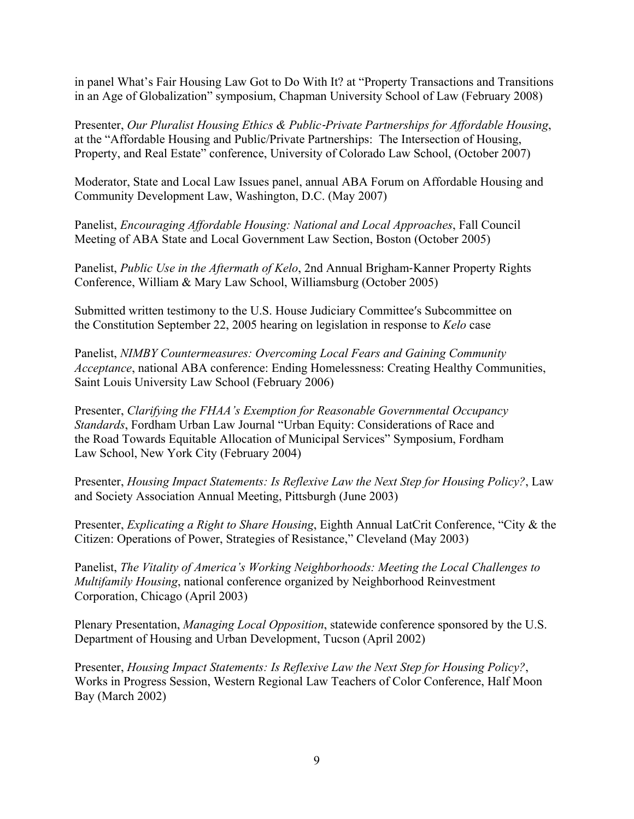in panel What's Fair Housing Law Got to Do With It? at "Property Transactions and Transitions in an Age of Globalization" symposium, Chapman University School of Law (February 2008)

Presenter, *Our Pluralist Housing Ethics & Public*‐*Private Partnerships for Affordable Housing*, at the "Affordable Housing and Public/Private Partnerships: The Intersection of Housing, Property, and Real Estate" conference, University of Colorado Law School, (October 2007)

Moderator, State and Local Law Issues panel, annual ABA Forum on Affordable Housing and Community Development Law, Washington, D.C. (May 2007)

Panelist, *Encouraging Affordable Housing: National and Local Approaches*, Fall Council Meeting of ABA State and Local Government Law Section, Boston (October 2005)

Panelist, *Public Use in the Aftermath of Kelo*, 2nd Annual Brigham‐Kanner Property Rights Conference, William & Mary Law School, Williamsburg (October 2005)

Submitted written testimony to the U.S. House Judiciary Committeeʹs Subcommittee on the Constitution September 22, 2005 hearing on legislation in response to *Kelo* case

Panelist, *NIMBY Countermeasures: Overcoming Local Fears and Gaining Community Acceptance*, national ABA conference: Ending Homelessness: Creating Healthy Communities, Saint Louis University Law School (February 2006)

Presenter, *Clarifying the FHAA's Exemption for Reasonable Governmental Occupancy Standards*, Fordham Urban Law Journal "Urban Equity: Considerations of Race and the Road Towards Equitable Allocation of Municipal Services" Symposium, Fordham Law School, New York City (February 2004)

Presenter, *Housing Impact Statements: Is Reflexive Law the Next Step for Housing Policy?*, Law and Society Association Annual Meeting, Pittsburgh (June 2003)

Presenter, *Explicating a Right to Share Housing*, Eighth Annual LatCrit Conference, "City & the Citizen: Operations of Power, Strategies of Resistance," Cleveland (May 2003)

Panelist, *The Vitality of America's Working Neighborhoods: Meeting the Local Challenges to Multifamily Housing*, national conference organized by Neighborhood Reinvestment Corporation, Chicago (April 2003)

Plenary Presentation, *Managing Local Opposition*, statewide conference sponsored by the U.S. Department of Housing and Urban Development, Tucson (April 2002)

Presenter, *Housing Impact Statements: Is Reflexive Law the Next Step for Housing Policy?*, Works in Progress Session, Western Regional Law Teachers of Color Conference, Half Moon Bay (March 2002)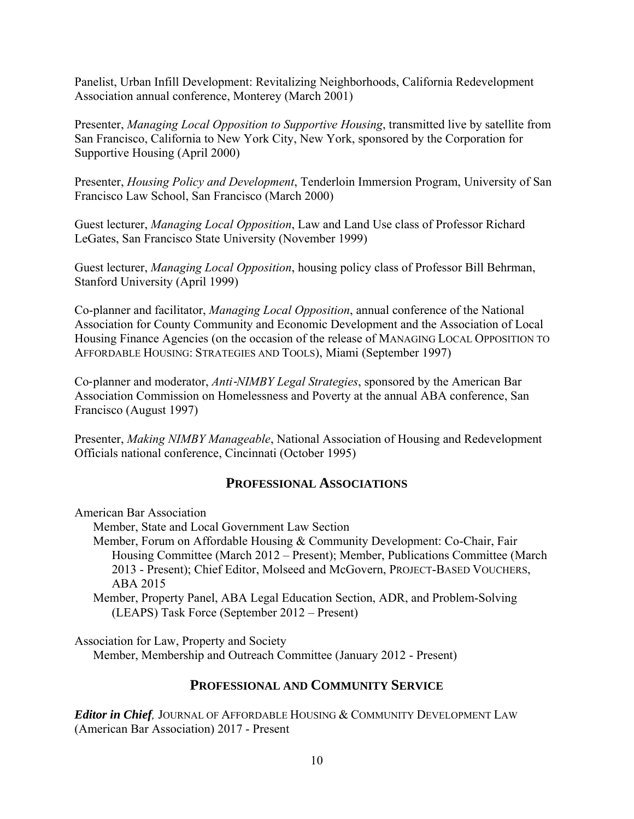Panelist, Urban Infill Development: Revitalizing Neighborhoods, California Redevelopment Association annual conference, Monterey (March 2001)

Presenter, *Managing Local Opposition to Supportive Housing*, transmitted live by satellite from San Francisco, California to New York City, New York, sponsored by the Corporation for Supportive Housing (April 2000)

Presenter, *Housing Policy and Development*, Tenderloin Immersion Program, University of San Francisco Law School, San Francisco (March 2000)

Guest lecturer, *Managing Local Opposition*, Law and Land Use class of Professor Richard LeGates, San Francisco State University (November 1999)

Guest lecturer, *Managing Local Opposition*, housing policy class of Professor Bill Behrman, Stanford University (April 1999)

Co-planner and facilitator, *Managing Local Opposition*, annual conference of the National Association for County Community and Economic Development and the Association of Local Housing Finance Agencies (on the occasion of the release of MANAGING LOCAL OPPOSITION TO AFFORDABLE HOUSING: STRATEGIES AND TOOLS), Miami (September 1997)

Co‐planner and moderator, *Anti*‐*NIMBY Legal Strategies*, sponsored by the American Bar Association Commission on Homelessness and Poverty at the annual ABA conference, San Francisco (August 1997)

Presenter, *Making NIMBY Manageable*, National Association of Housing and Redevelopment Officials national conference, Cincinnati (October 1995)

## **PROFESSIONAL ASSOCIATIONS**

American Bar Association

Member, State and Local Government Law Section

Member, Forum on Affordable Housing & Community Development: Co-Chair, Fair Housing Committee (March 2012 – Present); Member, Publications Committee (March 2013 - Present); Chief Editor, Molseed and McGovern, PROJECT-BASED VOUCHERS, ABA 2015

Member, Property Panel, ABA Legal Education Section, ADR, and Problem-Solving (LEAPS) Task Force (September 2012 – Present)

Association for Law, Property and Society Member, Membership and Outreach Committee (January 2012 - Present)

## **PROFESSIONAL AND COMMUNITY SERVICE**

*Editor in Chief,* JOURNAL OF AFFORDABLE HOUSING & COMMUNITY DEVELOPMENT LAW (American Bar Association) 2017 - Present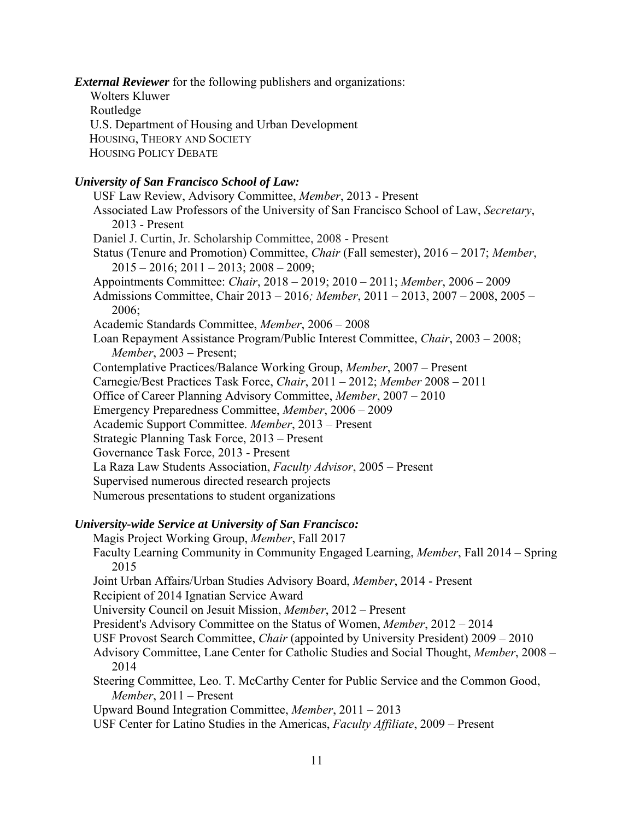*External Reviewer* for the following publishers and organizations:

Wolters Kluwer

Routledge

 U.S. Department of Housing and Urban Development HOUSING, THEORY AND SOCIETY

HOUSING POLICY DEBATE

# *University of San Francisco School of Law:*

USF Law Review, Advisory Committee, *Member*, 2013 - Present Associated Law Professors of the University of San Francisco School of Law, *Secretary*, 2013 - Present Daniel J. Curtin, Jr. Scholarship Committee, 2008 - Present Status (Tenure and Promotion) Committee, *Chair* (Fall semester), 2016 – 2017; *Member*,  $2015 - 2016$ ;  $2011 - 2013$ ;  $2008 - 2009$ ; Appointments Committee: *Chair*, 2018 – 2019; 2010 – 2011; *Member*, 2006 – 2009 Admissions Committee, Chair 2013 – 2016*; Member*, 2011 – 2013, 2007 – 2008, 2005 – 2006; Academic Standards Committee, *Member*, 2006 – 2008 Loan Repayment Assistance Program/Public Interest Committee, *Chair*, 2003 – 2008; *Member*, 2003 – Present; Contemplative Practices/Balance Working Group, *Member*, 2007 – Present Carnegie/Best Practices Task Force, *Chair*, 2011 – 2012; *Member* 2008 – 2011 Office of Career Planning Advisory Committee, *Member*, 2007 – 2010 Emergency Preparedness Committee, *Member*, 2006 – 2009 Academic Support Committee. *Member*, 2013 – Present Strategic Planning Task Force, 2013 – Present Governance Task Force, 2013 - Present La Raza Law Students Association, *Faculty Advisor*, 2005 – Present Supervised numerous directed research projects Numerous presentations to student organizations

# *University-wide Service at University of San Francisco:*

Magis Project Working Group, *Member*, Fall 2017 Faculty Learning Community in Community Engaged Learning, *Member*, Fall 2014 – Spring 2015 Joint Urban Affairs/Urban Studies Advisory Board, *Member*, 2014 - Present Recipient of 2014 Ignatian Service Award University Council on Jesuit Mission, *Member*, 2012 – Present President's Advisory Committee on the Status of Women, *Member*, 2012 – 2014 USF Provost Search Committee, *Chair* (appointed by University President) 2009 – 2010 Advisory Committee, Lane Center for Catholic Studies and Social Thought, *Member*, 2008 – 2014 Steering Committee, Leo. T. McCarthy Center for Public Service and the Common Good, *Member*, 2011 – Present Upward Bound Integration Committee, *Member*, 2011 – 2013

USF Center for Latino Studies in the Americas, *Faculty Affiliate*, 2009 – Present